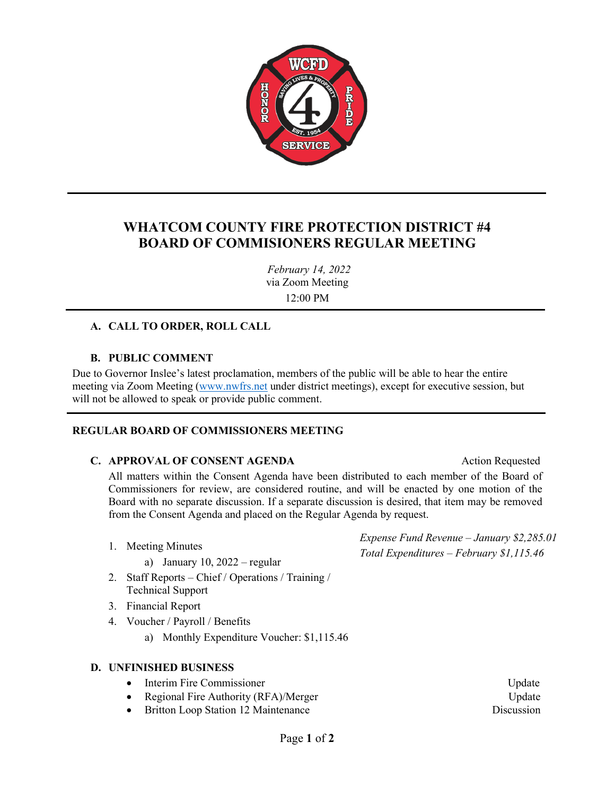

# **WHATCOM COUNTY FIRE PROTECTION DISTRICT #4 BOARD OF COMMISIONERS REGULAR MEETING**

*February 14, 2022* via Zoom Meeting 12:00 PM

## **A. CALL TO ORDER, ROLL CALL**

### **B. PUBLIC COMMENT**

Due to Governor Inslee's latest proclamation, members of the public will be able to hear the entire meeting via Zoom Meeting [\(www.nwfrs.net](http://www.nwfrs.net/) under district meetings), except for executive session, but will not be allowed to speak or provide public comment.

### **REGULAR BOARD OF COMMISSIONERS MEETING**

### **C. APPROVAL OF CONSENT AGENDA** Action Requested

All matters within the Consent Agenda have been distributed to each member of the Board of Commissioners for review, are considered routine, and will be enacted by one motion of the Board with no separate discussion. If a separate discussion is desired, that item may be removed from the Consent Agenda and placed on the Regular Agenda by request.

- 1. Meeting Minutes
	- a) January 10,  $2022 \text{regular}$
- 2. Staff Reports Chief / Operations / Training / Technical Support
- 3. Financial Report
- 4. Voucher / Payroll / Benefits
	- a) Monthly Expenditure Voucher: \$1,115.46

### **D. UNFINISHED BUSINESS**

- Interim Fire Commissioner View Andreas Commissioner Update
- Regional Fire Authority (RFA)/Merger Update
- Britton Loop Station 12 Maintenance Discussion

*Expense Fund Revenue – January \$2,285.01 Total Expenditures – February \$1,115.46*